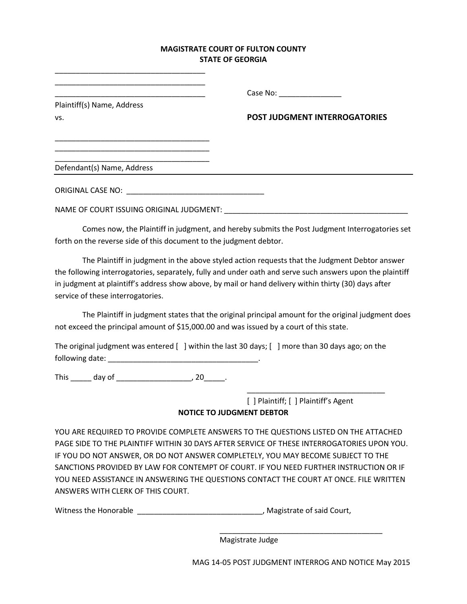## **MAGISTRATE COURT OF FULTON COUNTY STATE OF GEORGIA**

| Plaintiff(s) Name, Address<br>VS.        | Case No: ____________________<br><b>POST JUDGMENT INTERROGATORIES</b> |
|------------------------------------------|-----------------------------------------------------------------------|
|                                          |                                                                       |
|                                          |                                                                       |
| NAME OF COURT ISSUING ORIGINAL JUDGMENT: |                                                                       |

Comes now, the Plaintiff in judgment, and hereby submits the Post Judgment Interrogatories set forth on the reverse side of this document to the judgment debtor.

The Plaintiff in judgment in the above styled action requests that the Judgment Debtor answer the following interrogatories, separately, fully and under oath and serve such answers upon the plaintiff in judgment at plaintiff's address show above, by mail or hand delivery within thirty (30) days after service of these interrogatories.

The Plaintiff in judgment states that the original principal amount for the original judgment does not exceed the principal amount of \$15,000.00 and was issued by a court of this state.

The original judgment was entered  $\lceil \cdot \rceil$  within the last 30 days;  $\lceil \cdot \rceil$  more than 30 days ago; on the following date: \_\_\_\_\_\_\_\_\_\_\_\_\_\_\_\_\_\_\_\_\_\_\_\_\_\_\_\_\_\_\_\_\_\_\_\_.

This \_\_\_\_\_\_\_ day of \_\_\_\_\_\_\_\_\_\_\_\_\_\_\_\_\_\_\_\_\_\_\_\_, 20\_\_\_\_\_\_.

\_\_\_\_\_\_\_\_\_\_\_\_\_\_\_\_\_\_\_\_\_\_\_\_\_\_\_\_\_\_\_\_\_\_\_\_

[ ] Plaintiff; [ ] Plaintiff's Agent **NOTICE TO JUDGMENT DEBTOR**

\_\_\_\_\_\_\_\_\_\_\_\_\_\_\_\_\_\_\_\_\_\_\_\_\_\_\_\_\_\_\_\_\_

YOU ARE REQUIRED TO PROVIDE COMPLETE ANSWERS TO THE QUESTIONS LISTED ON THE ATTACHED PAGE SIDE TO THE PLAINTIFF WITHIN 30 DAYS AFTER SERVICE OF THESE INTERROGATORIES UPON YOU. IF YOU DO NOT ANSWER, OR DO NOT ANSWER COMPLETELY, YOU MAY BECOME SUBJECT TO THE SANCTIONS PROVIDED BY LAW FOR CONTEMPT OF COURT. IF YOU NEED FURTHER INSTRUCTION OR IF YOU NEED ASSISTANCE IN ANSWERING THE QUESTIONS CONTACT THE COURT AT ONCE. FILE WRITTEN ANSWERS WITH CLERK OF THIS COURT.

Witness the Honorable **Exercise 2 and Solution** and Sultanus Court, Magistrate of said Court,

Magistrate Judge

MAG 14-05 POST JUDGMENT INTERROG AND NOTICE May 2015

\_\_\_\_\_\_\_\_\_\_\_\_\_\_\_\_\_\_\_\_\_\_\_\_\_\_\_\_\_\_\_\_\_\_\_\_\_\_\_